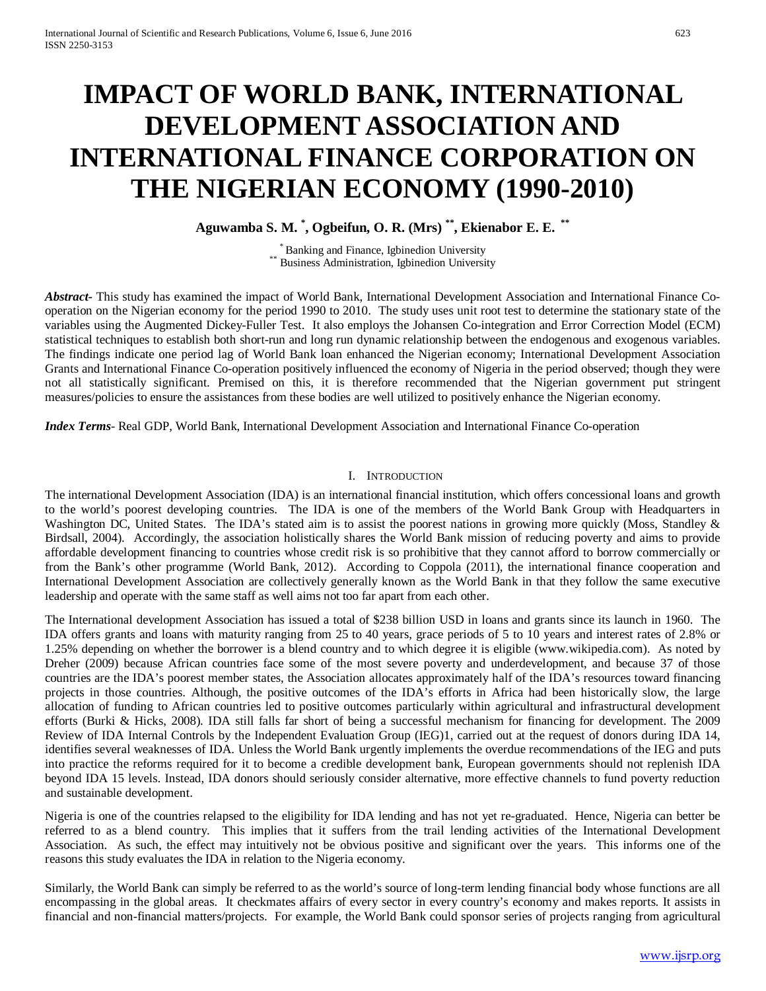# **IMPACT OF WORLD BANK, INTERNATIONAL DEVELOPMENT ASSOCIATION AND INTERNATIONAL FINANCE CORPORATION ON THE NIGERIAN ECONOMY (1990-2010)**

**Aguwamba S. M. \* , Ogbeifun, O. R. (Mrs) \*\*, Ekienabor E. E. \*\***

\* Banking and Finance, Igbinedion University \*\* Business Administration, Igbinedion University

*Abstract***-** This study has examined the impact of World Bank, International Development Association and International Finance Cooperation on the Nigerian economy for the period 1990 to 2010. The study uses unit root test to determine the stationary state of the variables using the Augmented Dickey-Fuller Test. It also employs the Johansen Co-integration and Error Correction Model (ECM) statistical techniques to establish both short-run and long run dynamic relationship between the endogenous and exogenous variables. The findings indicate one period lag of World Bank loan enhanced the Nigerian economy; International Development Association Grants and International Finance Co-operation positively influenced the economy of Nigeria in the period observed; though they were not all statistically significant. Premised on this, it is therefore recommended that the Nigerian government put stringent measures/policies to ensure the assistances from these bodies are well utilized to positively enhance the Nigerian economy.

*Index Terms*- Real GDP, World Bank, International Development Association and International Finance Co-operation

## I. INTRODUCTION

The international Development Association (IDA) is an international financial institution, which offers concessional loans and growth to the world's poorest developing countries. The IDA is one of the members of the World Bank Group with Headquarters in Washington DC, United States. The IDA's stated aim is to assist the poorest nations in growing more quickly (Moss, Standley & Birdsall, 2004). Accordingly, the association holistically shares the World Bank mission of reducing poverty and aims to provide affordable development financing to countries whose credit risk is so prohibitive that they cannot afford to borrow commercially or from the Bank's other programme (World Bank, 2012). According to Coppola (2011), the international finance cooperation and International Development Association are collectively generally known as the World Bank in that they follow the same executive leadership and operate with the same staff as well aims not too far apart from each other.

The International development Association has issued a total of \$238 billion USD in loans and grants since its launch in 1960. The IDA offers grants and loans with maturity ranging from 25 to 40 years, grace periods of 5 to 10 years and interest rates of 2.8% or 1.25% depending on whether the borrower is a blend country and to which degree it is eligible (www.wikipedia.com). As noted by Dreher (2009) because African countries face some of the most severe poverty and underdevelopment, and because 37 of those countries are the IDA's poorest member states, the Association allocates approximately half of the IDA's resources toward financing projects in those countries. Although, the positive outcomes of the IDA's efforts in Africa had been historically slow, the large allocation of funding to African countries led to positive outcomes particularly within agricultural and infrastructural development efforts (Burki & Hicks, 2008). IDA still falls far short of being a successful mechanism for financing for development. The 2009 Review of IDA Internal Controls by the Independent Evaluation Group (IEG)1, carried out at the request of donors during IDA 14, identifies several weaknesses of IDA. Unless the World Bank urgently implements the overdue recommendations of the IEG and puts into practice the reforms required for it to become a credible development bank, European governments should not replenish IDA beyond IDA 15 levels. Instead, IDA donors should seriously consider alternative, more effective channels to fund poverty reduction and sustainable development.

Nigeria is one of the countries relapsed to the eligibility for IDA lending and has not yet re-graduated. Hence, Nigeria can better be referred to as a blend country. This implies that it suffers from the trail lending activities of the International Development Association. As such, the effect may intuitively not be obvious positive and significant over the years. This informs one of the reasons this study evaluates the IDA in relation to the Nigeria economy.

Similarly, the World Bank can simply be referred to as the world's source of long-term lending financial body whose functions are all encompassing in the global areas. It checkmates affairs of every sector in every country's economy and makes reports. It assists in financial and non-financial matters/projects. For example, the World Bank could sponsor series of projects ranging from agricultural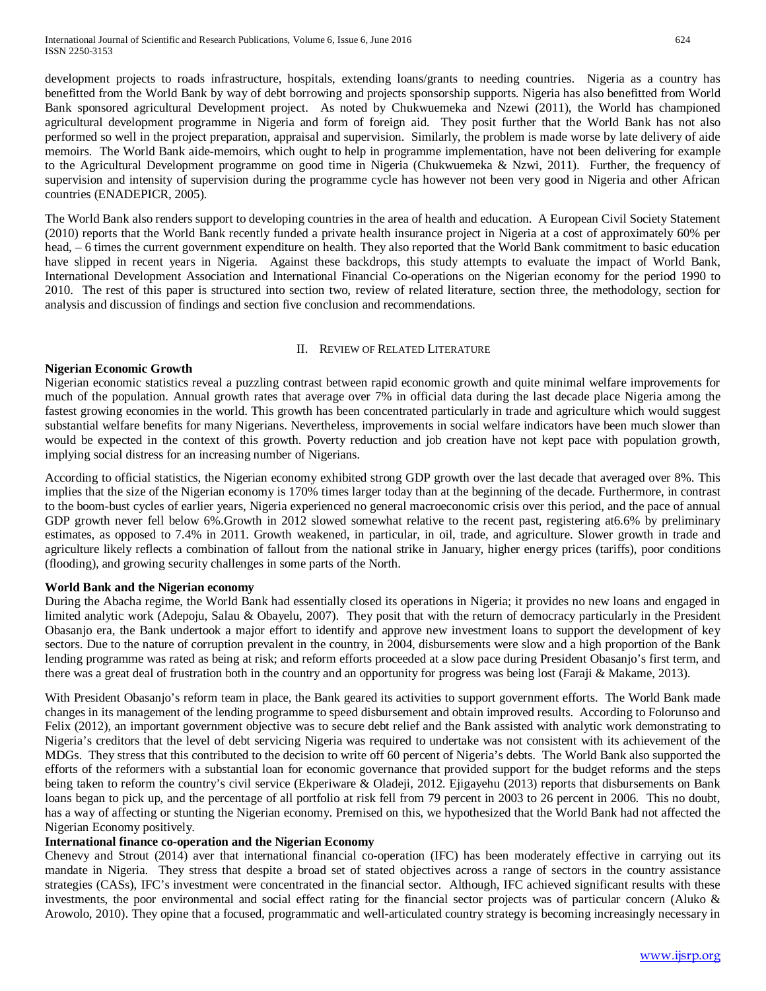development projects to roads infrastructure, hospitals, extending loans/grants to needing countries. Nigeria as a country has benefitted from the World Bank by way of debt borrowing and projects sponsorship supports. Nigeria has also benefitted from World Bank sponsored agricultural Development project. As noted by Chukwuemeka and Nzewi (2011), the World has championed agricultural development programme in Nigeria and form of foreign aid. They posit further that the World Bank has not also performed so well in the project preparation, appraisal and supervision. Similarly, the problem is made worse by late delivery of aide memoirs. The World Bank aide-memoirs, which ought to help in programme implementation, have not been delivering for example to the Agricultural Development programme on good time in Nigeria (Chukwuemeka & Nzwi, 2011). Further, the frequency of supervision and intensity of supervision during the programme cycle has however not been very good in Nigeria and other African countries (ENADEPICR, 2005).

The World Bank also renders support to developing countries in the area of health and education. A European Civil Society Statement (2010) reports that the World Bank recently funded a private health insurance project in Nigeria at a cost of approximately 60% per head,  $-6$  times the current government expenditure on health. They also reported that the World Bank commitment to basic education have slipped in recent years in Nigeria. Against these backdrops, this study attempts to evaluate the impact of World Bank, International Development Association and International Financial Co-operations on the Nigerian economy for the period 1990 to 2010. The rest of this paper is structured into section two, review of related literature, section three, the methodology, section for analysis and discussion of findings and section five conclusion and recommendations.

## II. REVIEW OF RELATED LITERATURE

## **Nigerian Economic Growth**

Nigerian economic statistics reveal a puzzling contrast between rapid economic growth and quite minimal welfare improvements for much of the population. Annual growth rates that average over 7% in official data during the last decade place Nigeria among the fastest growing economies in the world. This growth has been concentrated particularly in trade and agriculture which would suggest substantial welfare benefits for many Nigerians. Nevertheless, improvements in social welfare indicators have been much slower than would be expected in the context of this growth. Poverty reduction and job creation have not kept pace with population growth, implying social distress for an increasing number of Nigerians.

According to official statistics, the Nigerian economy exhibited strong GDP growth over the last decade that averaged over 8%. This implies that the size of the Nigerian economy is 170% times larger today than at the beginning of the decade. Furthermore, in contrast to the boom-bust cycles of earlier years, Nigeria experienced no general macroeconomic crisis over this period, and the pace of annual GDP growth never fell below 6%.Growth in 2012 slowed somewhat relative to the recent past, registering at6.6% by preliminary estimates, as opposed to 7.4% in 2011. Growth weakened, in particular, in oil, trade, and agriculture. Slower growth in trade and agriculture likely reflects a combination of fallout from the national strike in January, higher energy prices (tariffs), poor conditions (flooding), and growing security challenges in some parts of the North.

## **World Bank and the Nigerian economy**

During the Abacha regime, the World Bank had essentially closed its operations in Nigeria; it provides no new loans and engaged in limited analytic work (Adepoju, Salau & Obayelu, 2007). They posit that with the return of democracy particularly in the President Obasanjo era, the Bank undertook a major effort to identify and approve new investment loans to support the development of key sectors. Due to the nature of corruption prevalent in the country, in 2004, disbursements were slow and a high proportion of the Bank lending programme was rated as being at risk; and reform efforts proceeded at a slow pace during President Obasanjo's first term, and there was a great deal of frustration both in the country and an opportunity for progress was being lost (Faraji & Makame, 2013).

With President Obasanjo's reform team in place, the Bank geared its activities to support government efforts. The World Bank made changes in its management of the lending programme to speed disbursement and obtain improved results. According to Folorunso and Felix (2012), an important government objective was to secure debt relief and the Bank assisted with analytic work demonstrating to Nigeria's creditors that the level of debt servicing Nigeria was required to undertake was not consistent with its achievement of the MDGs. They stress that this contributed to the decision to write off 60 percent of Nigeria's debts. The World Bank also supported the efforts of the reformers with a substantial loan for economic governance that provided support for the budget reforms and the steps being taken to reform the country's civil service (Ekperiware & Oladeji, 2012. Ejigayehu (2013) reports that disbursements on Bank loans began to pick up, and the percentage of all portfolio at risk fell from 79 percent in 2003 to 26 percent in 2006. This no doubt, has a way of affecting or stunting the Nigerian economy. Premised on this, we hypothesized that the World Bank had not affected the Nigerian Economy positively.

## **International finance co-operation and the Nigerian Economy**

Chenevy and Strout (2014) aver that international financial co-operation (IFC) has been moderately effective in carrying out its mandate in Nigeria. They stress that despite a broad set of stated objectives across a range of sectors in the country assistance strategies (CASs), IFC's investment were concentrated in the financial sector. Although, IFC achieved significant results with these investments, the poor environmental and social effect rating for the financial sector projects was of particular concern (Aluko & Arowolo, 2010). They opine that a focused, programmatic and well-articulated country strategy is becoming increasingly necessary in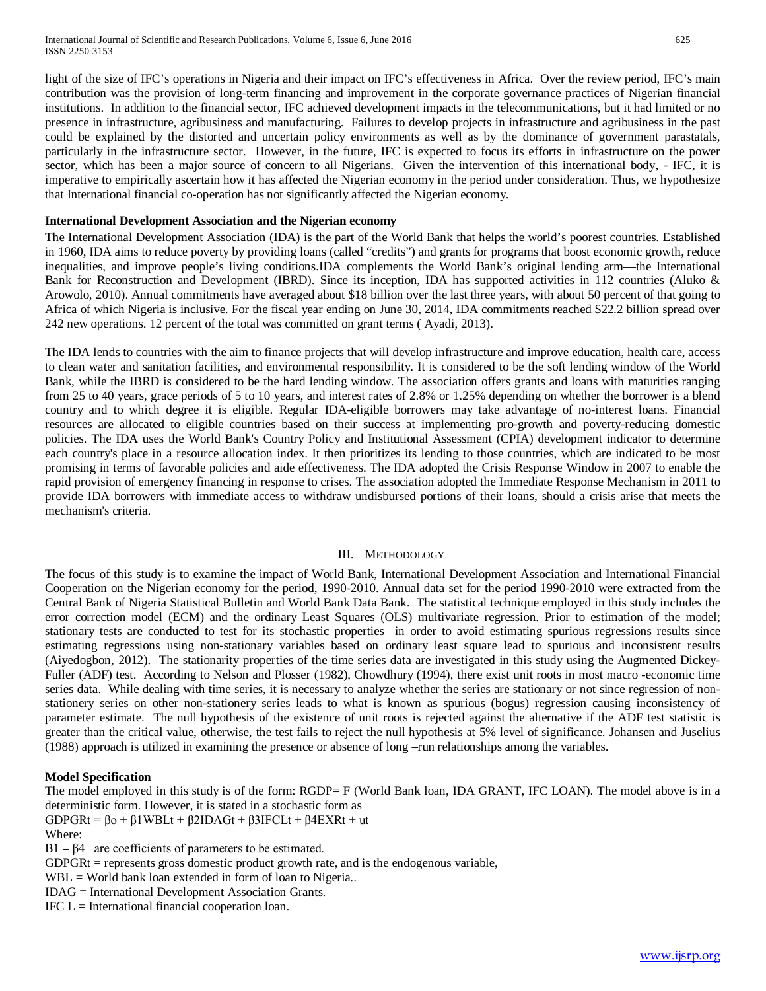light of the size of IFC's operations in Nigeria and their impact on IFC's effectiveness in Africa. Over the review period, IFC's main contribution was the provision of long-term financing and improvement in the corporate governance practices of Nigerian financial institutions. In addition to the financial sector, IFC achieved development impacts in the telecommunications, but it had limited or no presence in infrastructure, agribusiness and manufacturing. Failures to develop projects in infrastructure and agribusiness in the past could be explained by the distorted and uncertain policy environments as well as by the dominance of government parastatals, particularly in the infrastructure sector. However, in the future, IFC is expected to focus its efforts in infrastructure on the power sector, which has been a major source of concern to all Nigerians. Given the intervention of this international body, - IFC, it is imperative to empirically ascertain how it has affected the Nigerian economy in the period under consideration. Thus, we hypothesize that International financial co-operation has not significantly affected the Nigerian economy.

## **International Development Association and the Nigerian economy**

The International Development Association (IDA) is the part of the World Bank that helps the world's poorest countries. Established in 1960, IDA aims to reduce poverty by providing loans (called "credits") and grants for programs that boost economic growth, reduce inequalities, and improve people's living conditions.IDA complements the World Bank's original lending arm—the International Bank for Reconstruction and Development (IBRD). Since its inception, IDA has supported activities in 112 countries (Aluko & Arowolo, 2010). Annual commitments have averaged about \$18 billion over the last three years, with about 50 percent of that going to Africa of which Nigeria is inclusive. For the fiscal year ending on June 30, 2014, IDA commitments reached \$22.2 billion spread over 242 new operations. 12 percent of the total was committed on grant terms ( Ayadi, 2013).

The IDA lends to countries with the aim to finance projects that will develop infrastructure and improve education, health care, access to clean water and sanitation facilities, and environmental responsibility. It is considered to be the soft lending window of the World Bank, while the IBRD is considered to be the hard lending window. The association offers grants and loans with maturities ranging from 25 to 40 years, grace periods of 5 to 10 years, and interest rates of 2.8% or 1.25% depending on whether the borrower is a blend country and to which degree it is eligible. Regular IDA-eligible borrowers may take advantage of no-interest loans. Financial resources are allocated to eligible countries based on their success at implementing pro-growth and poverty-reducing domestic policies. The IDA uses the World Bank's Country Policy and Institutional Assessment (CPIA) development indicator to determine each country's place in a resource allocation index. It then prioritizes its lending to those countries, which are indicated to be most promising in terms of favorable policies and aide effectiveness. The IDA adopted the Crisis Response Window in 2007 to enable the rapid provision of emergency financing in response to crises. The association adopted the Immediate Response Mechanism in 2011 to provide IDA borrowers with immediate access to withdraw undisbursed portions of their loans, should a crisis arise that meets the mechanism's criteria.

## III. METHODOLOGY

The focus of this study is to examine the impact of World Bank, International Development Association and International Financial Cooperation on the Nigerian economy for the period, 1990-2010. Annual data set for the period 1990-2010 were extracted from the Central Bank of Nigeria Statistical Bulletin and World Bank Data Bank. The statistical technique employed in this study includes the error correction model (ECM) and the ordinary Least Squares (OLS) multivariate regression. Prior to estimation of the model; stationary tests are conducted to test for its stochastic properties in order to avoid estimating spurious regressions results since estimating regressions using non-stationary variables based on ordinary least square lead to spurious and inconsistent results (Aiyedogbon, 2012). The stationarity properties of the time series data are investigated in this study using the Augmented Dickey-Fuller (ADF) test. According to Nelson and Plosser (1982), Chowdhury (1994), there exist unit roots in most macro -economic time series data. While dealing with time series, it is necessary to analyze whether the series are stationary or not since regression of nonstationery series on other non-stationery series leads to what is known as spurious (bogus) regression causing inconsistency of parameter estimate. The null hypothesis of the existence of unit roots is rejected against the alternative if the ADF test statistic is greater than the critical value, otherwise, the test fails to reject the null hypothesis at 5% level of significance. Johansen and Juselius (1988) approach is utilized in examining the presence or absence of long –run relationships among the variables.

## **Model Specification**

The model employed in this study is of the form: RGDP= F (World Bank loan, IDA GRANT, IFC LOAN). The model above is in a deterministic form. However, it is stated in a stochastic form as GDPGRt =  $\beta$ o +  $\beta$ 1WBLt +  $\beta$ 2IDAGt +  $\beta$ 3IFCLt +  $\beta$ 4EXRt + ut Where:

 $B1 - β4$  are coefficients of parameters to be estimated.

GDPGRt = represents gross domestic product growth rate, and is the endogenous variable,

WBL = World bank loan extended in form of loan to Nigeria..

IDAG = International Development Association Grants.

 $IFC L = International financial cooperation loan.$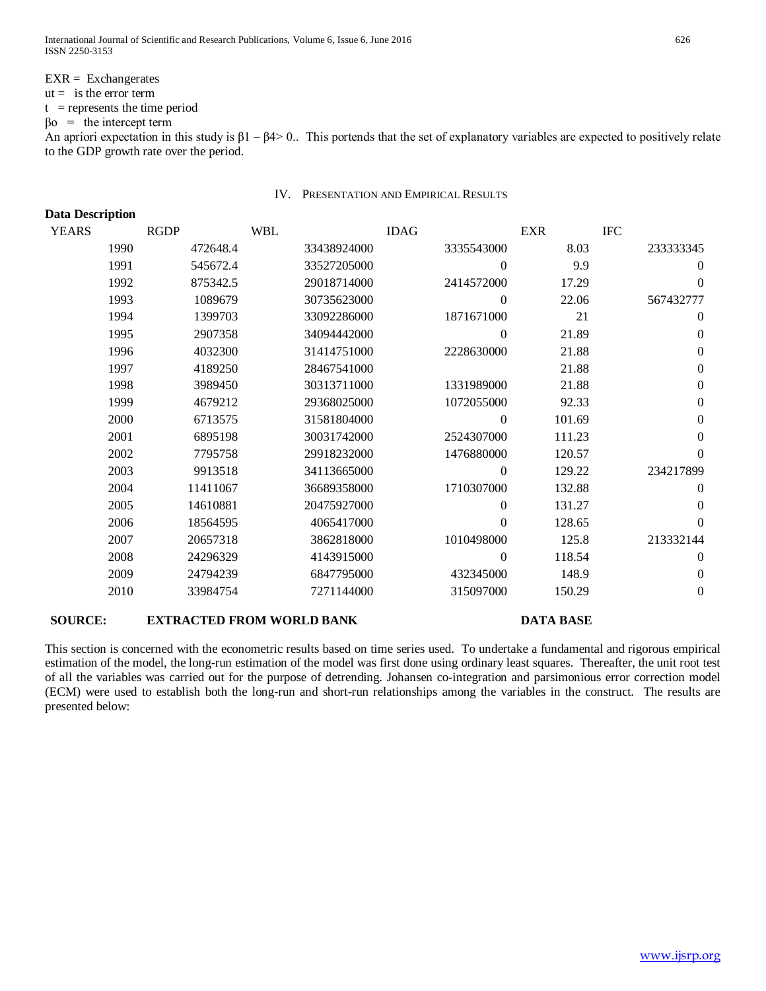International Journal of Scientific and Research Publications, Volume 6, Issue 6, June 2016 626 ISSN 2250-3153

 $EXR = Exchanges$  $ut =$  is the error term  $t =$  represents the time period  $\beta$ o = the intercept term An apriori expectation in this study is  $\beta$ 1 –  $\beta$ 4> 0.. This portends that the set of explanatory variables are expected to positively relate to the GDP growth rate over the period.

#### IV. PRESENTATION AND EMPIRICAL RESULTS

| <b>Data Description</b> |             |             |                  |            |                  |
|-------------------------|-------------|-------------|------------------|------------|------------------|
| <b>YEARS</b>            | <b>RGDP</b> | <b>WBL</b>  | <b>IDAG</b>      | <b>EXR</b> | <b>IFC</b>       |
| 1990                    | 472648.4    | 33438924000 | 3335543000       | 8.03       | 233333345        |
| 1991                    | 545672.4    | 33527205000 | $\theta$         | 9.9        | $\overline{0}$   |
| 1992                    | 875342.5    | 29018714000 | 2414572000       | 17.29      | $\mathbf{0}$     |
| 1993                    | 1089679     | 30735623000 | $\theta$         | 22.06      | 567432777        |
| 1994                    | 1399703     | 33092286000 | 1871671000       | 21         | $\mathbf{0}$     |
| 1995                    | 2907358     | 34094442000 | $\boldsymbol{0}$ | 21.89      | $\boldsymbol{0}$ |
| 1996                    | 4032300     | 31414751000 | 2228630000       | 21.88      | $\boldsymbol{0}$ |
| 1997                    | 4189250     | 28467541000 |                  | 21.88      | $\boldsymbol{0}$ |
| 1998                    | 3989450     | 30313711000 | 1331989000       | 21.88      | $\boldsymbol{0}$ |
| 1999                    | 4679212     | 29368025000 | 1072055000       | 92.33      | $\boldsymbol{0}$ |
| 2000                    | 6713575     | 31581804000 | $\boldsymbol{0}$ | 101.69     | $\boldsymbol{0}$ |
| 2001                    | 6895198     | 30031742000 | 2524307000       | 111.23     | $\boldsymbol{0}$ |
| 2002                    | 7795758     | 29918232000 | 1476880000       | 120.57     | $\Omega$         |
| 2003                    | 9913518     | 34113665000 | $\theta$         | 129.22     | 234217899        |
| 2004                    | 11411067    | 36689358000 | 1710307000       | 132.88     | $\boldsymbol{0}$ |
| 2005                    | 14610881    | 20475927000 | $\theta$         | 131.27     | $\boldsymbol{0}$ |
| 2006                    | 18564595    | 4065417000  | $\theta$         | 128.65     | $\theta$         |
| 2007                    | 20657318    | 3862818000  | 1010498000       | 125.8      | 213332144        |
| 2008                    | 24296329    | 4143915000  | $\overline{0}$   | 118.54     | $\mathbf{0}$     |
| 2009                    | 24794239    | 6847795000  | 432345000        | 148.9      | $\boldsymbol{0}$ |
| 2010                    | 33984754    | 7271144000  | 315097000        | 150.29     | $\mathbf{0}$     |

## **SOURCE: EXTRACTED FROM WORLD BANK DATA BASE**

This section is concerned with the econometric results based on time series used. To undertake a fundamental and rigorous empirical estimation of the model, the long-run estimation of the model was first done using ordinary least squares. Thereafter, the unit root test of all the variables was carried out for the purpose of detrending. Johansen co-integration and parsimonious error correction model (ECM) were used to establish both the long-run and short-run relationships among the variables in the construct. The results are presented below: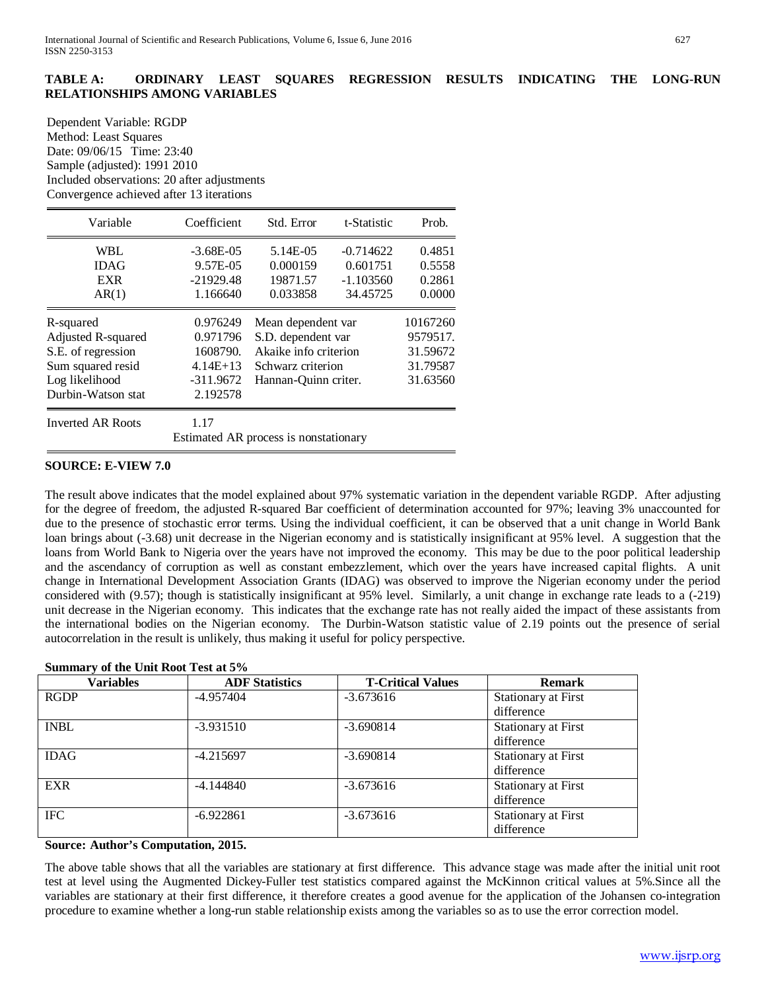## **TABLE A: ORDINARY LEAST SQUARES REGRESSION RESULTS INDICATING THE LONG-RUN RELATIONSHIPS AMONG VARIABLES**

Dependent Variable: RGDP Method: Least Squares Date: 09/06/15 Time: 23:40 Sample (adjusted): 1991 2010 Included observations: 20 after adjustments Convergence achieved after 13 iterations

| Variable                                                                                                           | Coefficient                                                               | Std. Error                                                                                                     | t-Statistic                            | Prob.                                                    |
|--------------------------------------------------------------------------------------------------------------------|---------------------------------------------------------------------------|----------------------------------------------------------------------------------------------------------------|----------------------------------------|----------------------------------------------------------|
| WBL<br><b>IDAG</b><br><b>EXR</b>                                                                                   | $-3.68E - 05$<br>9.57E-05<br>$-21929.48$                                  | 5.14E-05<br>0.000159<br>19871.57                                                                               | $-0.714622$<br>0.601751<br>$-1.103560$ | 0.4851<br>0.5558<br>0.2861                               |
| AR(1)                                                                                                              | 1.166640                                                                  | 0.033858                                                                                                       | 34.45725                               | 0.0000                                                   |
| R-squared<br>Adjusted R-squared<br>S.E. of regression<br>Sum squared resid<br>Log likelihood<br>Durbin-Watson stat | 0.976249<br>0.971796<br>1608790.<br>$4.14E+13$<br>$-311.9672$<br>2.192578 | Mean dependent var<br>S.D. dependent var<br>Akaike info criterion<br>Schwarz criterion<br>Hannan-Quinn criter. |                                        | 10167260<br>9579517.<br>31.59672<br>31.79587<br>31.63560 |
| <b>Inverted AR Roots</b>                                                                                           | 1.17                                                                      | Estimated AR process is nonstationary                                                                          |                                        |                                                          |

## **SOURCE: E-VIEW 7.0**

The result above indicates that the model explained about 97% systematic variation in the dependent variable RGDP. After adjusting for the degree of freedom, the adjusted R-squared Bar coefficient of determination accounted for 97%; leaving 3% unaccounted for due to the presence of stochastic error terms. Using the individual coefficient, it can be observed that a unit change in World Bank loan brings about (-3.68) unit decrease in the Nigerian economy and is statistically insignificant at 95% level. A suggestion that the loans from World Bank to Nigeria over the years have not improved the economy. This may be due to the poor political leadership and the ascendancy of corruption as well as constant embezzlement, which over the years have increased capital flights. A unit change in International Development Association Grants (IDAG) was observed to improve the Nigerian economy under the period considered with (9.57); though is statistically insignificant at 95% level. Similarly, a unit change in exchange rate leads to a (-219) unit decrease in the Nigerian economy. This indicates that the exchange rate has not really aided the impact of these assistants from the international bodies on the Nigerian economy. The Durbin-Watson statistic value of 2.19 points out the presence of serial autocorrelation in the result is unlikely, thus making it useful for policy perspective.

## **Summary of the Unit Root Test at 5%**

| Variables   | <b>ADF Statistics</b> | <b>T-Critical Values</b> | <b>Remark</b>              |
|-------------|-----------------------|--------------------------|----------------------------|
| <b>RGDP</b> | -4.957404             | $-3.673616$              | <b>Stationary at First</b> |
|             |                       |                          | difference                 |
| <b>INBL</b> | $-3.931510$           | $-3.690814$              | <b>Stationary at First</b> |
|             |                       |                          | difference                 |
| <b>IDAG</b> | $-4.215697$           | $-3.690814$              | <b>Stationary at First</b> |
|             |                       |                          | difference                 |
| <b>EXR</b>  | -4.144840             | $-3.673616$              | <b>Stationary at First</b> |
|             |                       |                          | difference                 |
| <b>IFC</b>  | $-6.922861$           | $-3.673616$              | <b>Stationary at First</b> |
|             |                       |                          | difference                 |

## **Source: Author's Computation, 2015.**

The above table shows that all the variables are stationary at first difference. This advance stage was made after the initial unit root test at level using the Augmented Dickey-Fuller test statistics compared against the McKinnon critical values at 5%.Since all the variables are stationary at their first difference, it therefore creates a good avenue for the application of the Johansen co-integration procedure to examine whether a long-run stable relationship exists among the variables so as to use the error correction model.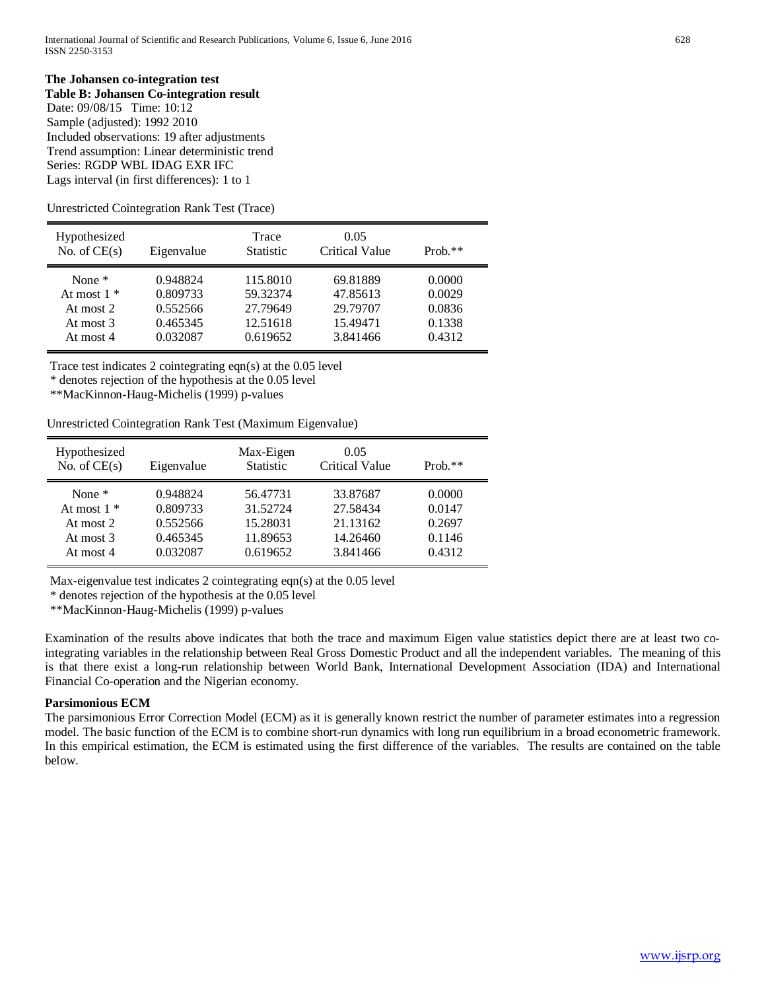## **The Johansen co-integration test**

**Table B: Johansen Co-integration result** Date: 09/08/15 Time: 10:12 Sample (adjusted): 1992 2010 Included observations: 19 after adjustments Trend assumption: Linear deterministic trend Series: RGDP WBL IDAG EXR IFC Lags interval (in first differences): 1 to 1

## Unrestricted Cointegration Rank Test (Trace)

| Hypothesized<br>No. of $CE(s)$ | Eigenvalue | Trace<br><b>Statistic</b> | 0.05<br><b>Critical Value</b> | Prob. $**$ |
|--------------------------------|------------|---------------------------|-------------------------------|------------|
| None $*$                       | 0.948824   | 115.8010                  | 69.81889                      | 0.0000     |
| At most $1 *$                  | 0.809733   | 59.32374                  | 47.85613                      | 0.0029     |
| At most $2$                    | 0.552566   | 27.79649                  | 29.79707                      | 0.0836     |
| At most $3$                    | 0.465345   | 12.51618                  | 15.49471                      | 0.1338     |
| At most 4                      | 0.032087   | 0.619652                  | 3.841466                      | 0.4312     |

Trace test indicates 2 cointegrating eqn(s) at the 0.05 level

\* denotes rejection of the hypothesis at the 0.05 level

\*\*MacKinnon-Haug-Michelis (1999) p-values

## Unrestricted Cointegration Rank Test (Maximum Eigenvalue)

| Hypothesized<br>No. of $CE(s)$                                   | Eigenvalue                                               | Max-Eigen<br><b>Statistic</b>                            | 0.05<br><b>Critical Value</b>                            | Prob. $**$                                     |
|------------------------------------------------------------------|----------------------------------------------------------|----------------------------------------------------------|----------------------------------------------------------|------------------------------------------------|
| None $*$<br>At most $1 *$<br>At most 2<br>At most 3<br>At most 4 | 0.948824<br>0.809733<br>0.552566<br>0.465345<br>0.032087 | 56.47731<br>31.52724<br>15.28031<br>11.89653<br>0.619652 | 33.87687<br>27.58434<br>21.13162<br>14.26460<br>3.841466 | 0.0000<br>0.0147<br>0.2697<br>0.1146<br>0.4312 |

Max-eigenvalue test indicates 2 cointegrating eqn(s) at the 0.05 level

\* denotes rejection of the hypothesis at the 0.05 level

\*\*MacKinnon-Haug-Michelis (1999) p-values

Examination of the results above indicates that both the trace and maximum Eigen value statistics depict there are at least two cointegrating variables in the relationship between Real Gross Domestic Product and all the independent variables. The meaning of this is that there exist a long-run relationship between World Bank, International Development Association (IDA) and International Financial Co-operation and the Nigerian economy.

## **Parsimonious ECM**

The parsimonious Error Correction Model (ECM) as it is generally known restrict the number of parameter estimates into a regression model. The basic function of the ECM is to combine short-run dynamics with long run equilibrium in a broad econometric framework. In this empirical estimation, the ECM is estimated using the first difference of the variables. The results are contained on the table below.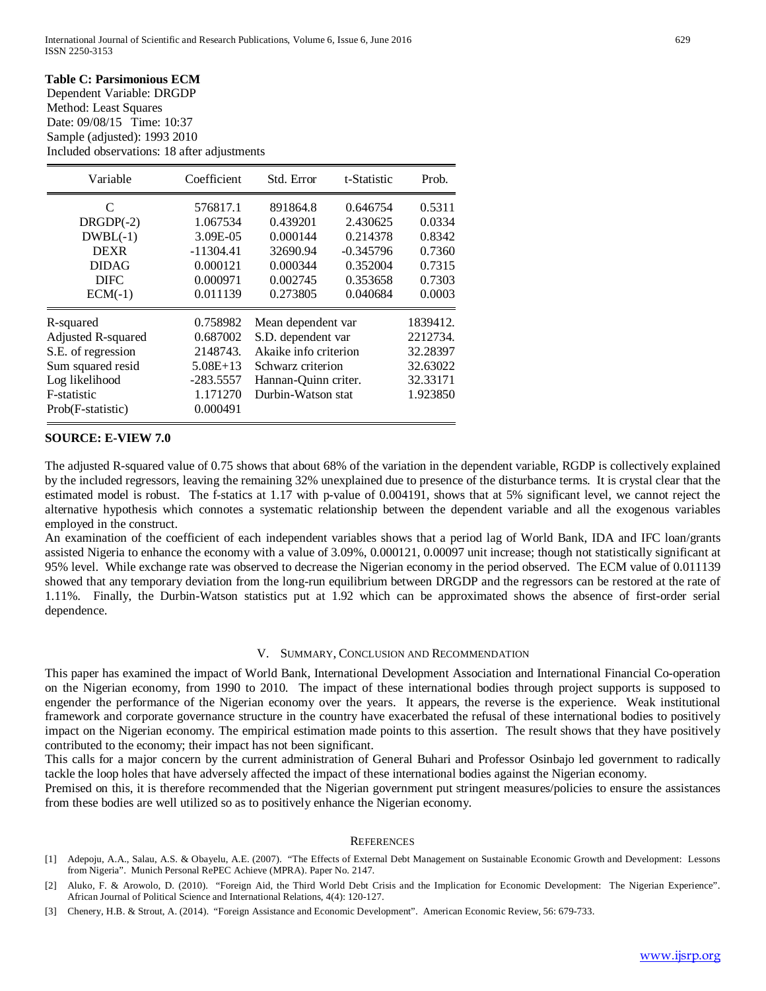# **Table C: Parsimonious ECM**

Dependent Variable: DRGDP Method: Least Squares Date: 09/08/15 Time: 10:37 Sample (adjusted): 1993 2010 Included observations: 18 after adjustments

| Variable           | Coefficient | Std. Error            | t-Statistic | Prob.    |
|--------------------|-------------|-----------------------|-------------|----------|
| C                  | 576817.1    | 891864.8              | 0.646754    | 0.5311   |
| $DRGDP(-2)$        | 1.067534    | 0.439201              | 2.430625    | 0.0334   |
| $DWBL(-1)$         | 3.09E-05    | 0.000144              | 0.214378    | 0.8342   |
| <b>DEXR</b>        | $-11304.41$ | 32690.94              | $-0.345796$ | 0.7360   |
| <b>DIDAG</b>       | 0.000121    | 0.000344              | 0.352004    | 0.7315   |
| <b>DIFC</b>        | 0.000971    | 0.002745              | 0.353658    | 0.7303   |
| $ECM(-1)$          | 0.011139    | 0.273805              | 0.040684    | 0.0003   |
| R-squared          | 0.758982    | Mean dependent var    |             | 1839412. |
| Adjusted R-squared | 0.687002    | S.D. dependent var    |             | 2212734. |
| S.E. of regression | 2148743.    | Akaike info criterion |             | 32.28397 |
| Sum squared resid  | $5.08E+13$  | Schwarz criterion     |             | 32.63022 |
| Log likelihood     | $-283.5557$ | Hannan-Quinn criter.  |             | 32.33171 |
| F-statistic        | 1.171270    | Durbin-Watson stat    |             | 1.923850 |
| Prob(F-statistic)  | 0.000491    |                       |             |          |

## **SOURCE: E-VIEW 7.0**

The adjusted R-squared value of 0.75 shows that about 68% of the variation in the dependent variable, RGDP is collectively explained by the included regressors, leaving the remaining 32% unexplained due to presence of the disturbance terms. It is crystal clear that the estimated model is robust. The f-statics at 1.17 with p-value of 0.004191, shows that at 5% significant level, we cannot reject the alternative hypothesis which connotes a systematic relationship between the dependent variable and all the exogenous variables employed in the construct.

An examination of the coefficient of each independent variables shows that a period lag of World Bank, IDA and IFC loan/grants assisted Nigeria to enhance the economy with a value of 3.09%, 0.000121, 0.00097 unit increase; though not statistically significant at 95% level. While exchange rate was observed to decrease the Nigerian economy in the period observed. The ECM value of 0.011139 showed that any temporary deviation from the long-run equilibrium between DRGDP and the regressors can be restored at the rate of 1.11%. Finally, the Durbin-Watson statistics put at 1.92 which can be approximated shows the absence of first-order serial dependence.

## V. SUMMARY, CONCLUSION AND RECOMMENDATION

This paper has examined the impact of World Bank, International Development Association and International Financial Co-operation on the Nigerian economy, from 1990 to 2010. The impact of these international bodies through project supports is supposed to engender the performance of the Nigerian economy over the years. It appears, the reverse is the experience. Weak institutional framework and corporate governance structure in the country have exacerbated the refusal of these international bodies to positively impact on the Nigerian economy. The empirical estimation made points to this assertion. The result shows that they have positively contributed to the economy; their impact has not been significant.

This calls for a major concern by the current administration of General Buhari and Professor Osinbajo led government to radically tackle the loop holes that have adversely affected the impact of these international bodies against the Nigerian economy.

Premised on this, it is therefore recommended that the Nigerian government put stringent measures/policies to ensure the assistances from these bodies are well utilized so as to positively enhance the Nigerian economy.

## **REFERENCES**

- [1] Adepoju, A.A., Salau, A.S. & Obayelu, A.E. (2007). "The Effects of External Debt Management on Sustainable Economic Growth and Development: Lessons from Nigeria". Munich Personal RePEC Achieve (MPRA). Paper No. 2147.
- [2] Aluko, F. & Arowolo, D. (2010). "Foreign Aid, the Third World Debt Crisis and the Implication for Economic Development: The Nigerian Experience". African Journal of Political Science and International Relations, 4(4): 120-127.
- [3] Chenery, H.B. & Strout, A. (2014). "Foreign Assistance and Economic Development". American Economic Review, 56: 679-733.